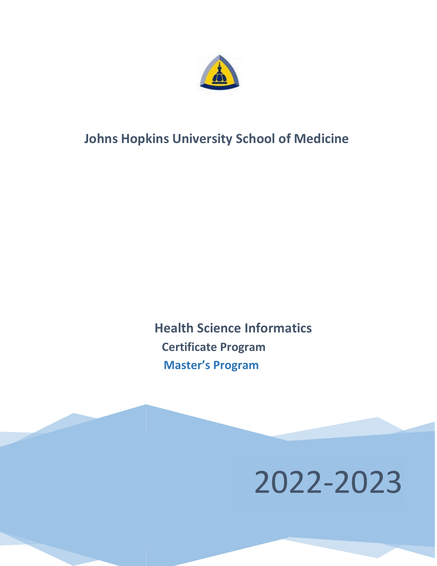

# **Johns Hopkins University School of Medicine**

 **Health Science Informatics Certificate Program Master's Program**

2022-2023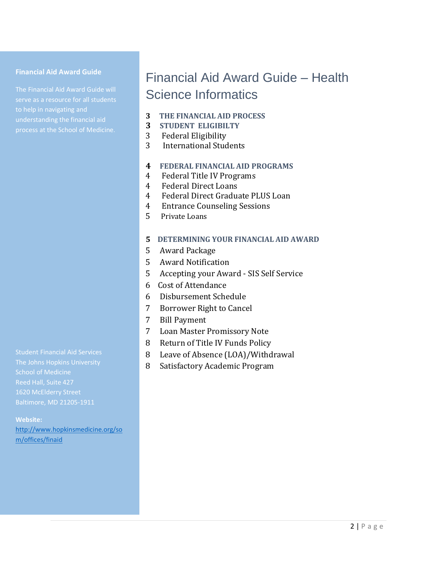#### **Financial Aid Award Guide**

The Financial Aid Award Guide will serve as a resource for all students to help in navigating and understanding the financial aid

# Financial Aid Award Guide – Health Science Informatics

- **3 THE FINANCIAL AID PROCESS**
- **3 STUDENT ELIGIBILTY**
- 3 Federal Eligibility
- 3 International Students

## **4 FEDERAL FINANCIAL AID PROGRAMS**

- 4 Federal Title IV Programs
- 4 Federal Direct Loans
- 4 Federal Direct Graduate PLUS Loan
- 4 Entrance Counseling Sessions
- 5 Private Loans

## **5 DETERMINING YOUR FINANCIAL AID AWARD**

- 5 Award Package
- 5 Award Notification
- 5 Accepting your Award SIS Self Service
- 6 Cost of Attendance
- 6 Disbursement Schedule
- 7 Borrower Right to Cancel
- 7 Bill Payment
- 7 Loan Master Promissory Note
- 8 Return of Title IV Funds Policy
- 8 Leave of Absence (LOA)/Withdrawal
- 8 Satisfactory Academic Program

Student Financial Aid Services School of Medicine Reed Hall, Suite 427 Baltimore, MD 21205-1911

#### **Website:**

[http://www.hopkinsmedicine.org/so](http://www.hopkinsmedicine.org/som/offices/finaid) [m/offices/finaid](http://www.hopkinsmedicine.org/som/offices/finaid)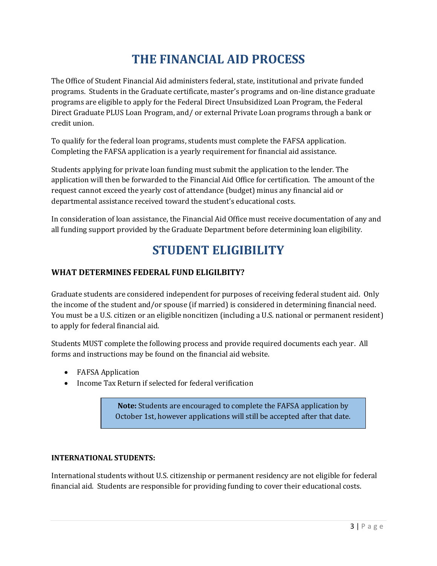# **THE FINANCIAL AID PROCESS**

The Office of Student Financial Aid administers federal, state, institutional and private funded programs. Students in the Graduate certificate, master's programs and on-line distance graduate programs are eligible to apply for the Federal Direct Unsubsidized Loan Program, the Federal Direct Graduate PLUS Loan Program, and/ or external Private Loan programs through a bank or credit union.

To qualify for the federal loan programs, students must complete the FAFSA application. Completing the FAFSA application is a yearly requirement for financial aid assistance.

Students applying for private loan funding must submit the application to the lender. The application will then be forwarded to the Financial Aid Office for certification. The amount of the request cannot exceed the yearly cost of attendance (budget) minus any financial aid or departmental assistance received toward the student's educational costs.

In consideration of loan assistance, the Financial Aid Office must receive documentation of any and all funding support provided by the Graduate Department before determining loan eligibility.

# **STUDENT ELIGIBILITY**

## **WHAT DETERMINES FEDERAL FUND ELIGILBITY?**

Graduate students are considered independent for purposes of receiving federal student aid. Only the income of the student and/or spouse (if married) is considered in determining financial need. You must be a U.S. citizen or an eligible noncitizen (including a U.S. national or permanent resident) to apply for federal financial aid.

Students MUST complete the following process and provide required documents each year. All forms and instructions may be found on the financial aid website.

- FAFSA Application
- Income Tax Return if selected for federal verification

**Note:** Students are encouraged to complete the FAFSA application by October 1st, however applications will still be accepted after that date.

#### **INTERNATIONAL STUDENTS:**

International students without U.S. citizenship or permanent residency are not eligible for federal financial aid. Students are responsible for providing funding to cover their educational costs.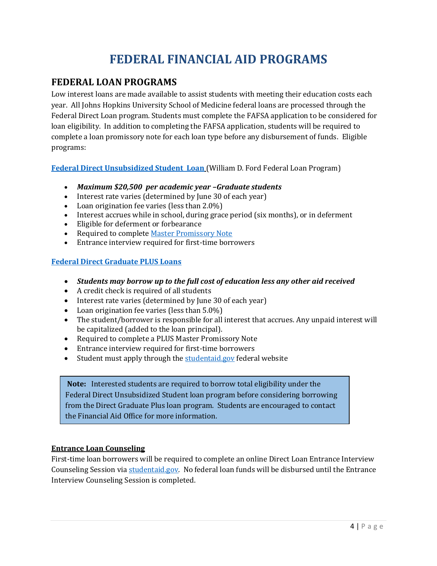# **FEDERAL FINANCIAL AID PROGRAMS**

# **FEDERAL LOAN PROGRAMS**

Low interest loans are made available to assist students with meeting their education costs each year. All Johns Hopkins University School of Medicine federal loans are processed through the Federal Direct Loan program. Students must complete the FAFSA application to be considered for loan eligibility. In addition to completing the FAFSA application, students will be required to complete a loan promissory note for each loan type before any disbursement of funds. Eligible programs:

**[Federal Direct Unsubsidized Student Loan](http://www.hopkinsmedicine.org/som/offices/finaid/loans/general.html)** (William D. Ford Federal Loan Program)

- *Maximum \$20,500 per academic year –Graduate students*
- Interest rate varies (determined by June 30 of each year)
- Loan origination fee varies (less than 2.0%)
- Interest accrues while in school, during grace period (six months), or in deferment
- Eligible for deferment or forbearance
- Required to complet[e Master Promissory Note](http://www.hopkinsmedicine.org/som/offices/finaid/loans/DirectLoan.html)
- Entrance interview required for first-time borrowers

## **[Federal Direct Graduate PLUS Loans](http://www.hopkinsmedicine.org/som/offices/finaid/loans/general.html)**

- *Students may borrow up to the full cost of education less any other aid received*
- A credit check is required of all students
- Interest rate varies (determined by June 30 of each year)
- Loan origination fee varies (less than 5.0%)
- The student/borrower is responsible for all interest that accrues. Any unpaid interest will be capitalized (added to the loan principal).
- Required to complete a PLUS Master Promissory Note
- Entrance interview required for first-time borrowers
- Student must apply through th[e studentaid.gov](https://studentaid.gov/app/launchPLUS.action?plusType=gradPlus) federal website

**Note:** Interested students are required to borrow total eligibility under the Federal Direct Unsubsidized Student loan program before considering borrowing from the Direct Graduate Plus loan program. Students are encouraged to contact the Financial Aid Office for more information.

#### **Entrance Loan Counseling**

First-time loan borrowers will be required to complete an online Direct Loan Entrance Interview Counseling Session vi[a studentaid.gov.](http://www.studentaid.gov/) No federal loan funds will be disbursed until the Entrance Interview Counseling Session is completed.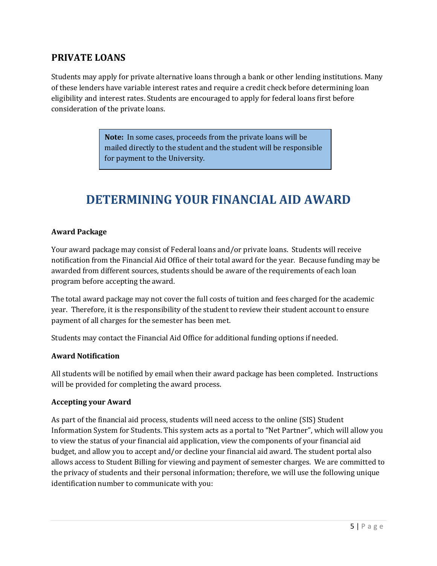# **PRIVATE LOANS**

Students may apply for private alternative loans through a bank or other lending institutions. Many of these lenders have variable interest rates and require a credit check before determining loan eligibility and interest rates. Students are encouraged to apply for federal loans first before consideration of the private loans.

> **Note:** In some cases, proceeds from the private loans will be mailed directly to the student and the student will be responsible for payment to the University.

# **DETERMINING YOUR FINANCIAL AID AWARD**

#### **Award Package**

Your award package may consist of Federal loans and/or private loans. Students will receive notification from the Financial Aid Office of their total award for the year. Because funding may be awarded from different sources, students should be aware of the requirements of each loan program before accepting the award.

The total award package may not cover the full costs of tuition and fees charged for the academic year. Therefore, it is the responsibility of the student to review their student account to ensure payment of all charges for the semester has been met.

Students may contact the Financial Aid Office for additional funding options if needed.

#### **Award Notification**

All students will be notified by email when their award package has been completed. Instructions will be provided for completing the award process.

#### **Accepting your Award**

As part of the financial aid process, students will need access to the online (SIS) Student Information System for Students. This system acts as a portal to "Net Partner", which will allow you to view the status of your financial aid application, view the components of your financial aid budget, and allow you to accept and/or decline your financial aid award. The student portal also allows access to Student Billing for viewing and payment of semester charges. We are committed to the privacy of students and their personal information; therefore, we will use the following unique identification number to communicate with you: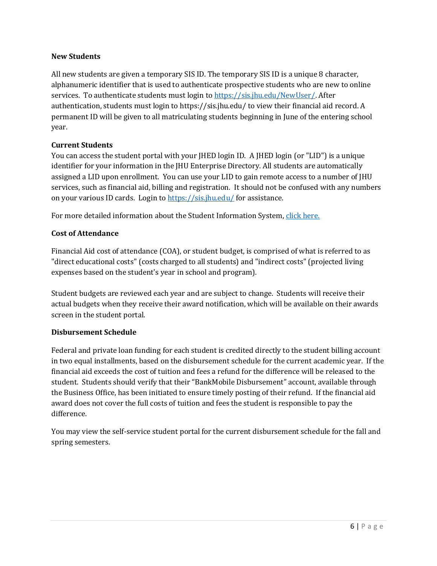### **New Students**

All new students are given a temporary SIS ID. The temporary SIS ID is a unique 8 character, alphanumeric identifier that is used to authenticate prospective students who are new to online services. To authenticate students must login to [https://sis.jhu.edu/NewUser/.](https://sis.jhu.edu/NewUser/) After authentication, students must login to<https://sis.jhu.edu/> to view their financial aid record. A permanent ID will be given to all matriculating students beginning in June of the entering school year.

## **Current Students**

You can access the student portal with your JHED login ID. A JHED login (or "LID") is a unique identifier for your information in the JHU Enterprise Directory. All students are automatically assigned a LID upon enrollment. You can use your LID to gain remote access to a number of JHU services, such as financial aid, billing and registration. It should not be confused with any numbers on your various ID cards. Login to<https://sis.jhu.edu/> for assistance.

For more detailed information about the Student Information System, [click here.](https://www.hopkinsmedicine.org/som/offices/finaid/sis.html)

## **Cost of Attendance**

Financial Aid cost of attendance (COA), or student budget, is comprised of what is referred to as "direct educational costs" (costs charged to all students) and "indirect costs" (projected living expenses based on the student's year in school and program).

Student budgets are reviewed each year and are subject to change. Students will receive their actual budgets when they receive their award notification, which will be available on their awards screen in the student portal.

#### **Disbursement Schedule**

Federal and private loan funding for each student is credited directly to the student billing account in two equal installments, based on the disbursement schedule for the current academic year. If the financial aid exceeds the cost of tuition and fees a refund for the difference will be released to the student. Students should verify that their "BankMobile Disbursement" account, available through the Business Office, has been initiated to ensure timely posting of their refund. If the financial aid award does not cover the full costs of tuition and fees the student is responsible to pay the difference.

You may view the self-service student portal for the current disbursement schedule for the fall and spring semesters.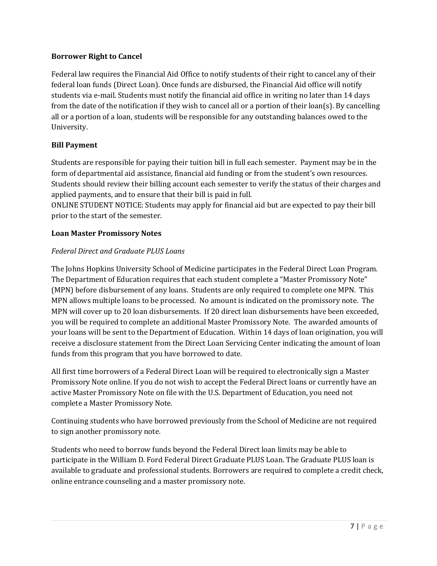## **Borrower Right to Cancel**

Federal law requires the Financial Aid Office to notify students of their right to cancel any of their federal loan funds (Direct Loan). Once funds are disbursed, the Financial Aid office will notify students via e-mail. Students must notify the financial aid office in writing no later than 14 days from the date of the notification if they wish to cancel all or a portion of their loan(s). By cancelling all or a portion of a loan, students will be responsible for any outstanding balances owed to the University.

## **Bill Payment**

Students are responsible for paying their tuition bill in full each semester. Payment may be in the form of departmental aid assistance, financial aid funding or from the student's own resources. Students should review their billing account each semester to verify the status of their charges and applied payments, and to ensure that their bill is paid in full.

ONLINE STUDENT NOTICE: Students may apply for financial aid but are expected to pay their bill prior to the start of the semester.

#### **Loan Master Promissory Notes**

#### *Federal Direct and Graduate PLUS Loans*

The Johns Hopkins University School of Medicine participates in the Federal Direct Loan Program. The Department of Education requires that each student complete a "Master Promissory Note" (MPN) before disbursement of any loans. Students are only required to complete one MPN. This MPN allows multiple loans to be processed. No amount is indicated on the promissory note. The MPN will cover up to 20 loan disbursements. If 20 direct loan disbursements have been exceeded, you will be required to complete an additional Master Promissory Note. The awarded amounts of your loans will be sent to the Department of Education. Within 14 days of loan origination, you will receive a disclosure statement from the Direct Loan Servicing Center indicating the amount of loan funds from this program that you have borrowed to date.

All first time borrowers of a Federal Direct Loan will be required to electronically sign a Master Promissory Note online. If you do not wish to accept the Federal Direct loans or currently have an active Master Promissory Note on file with the U.S. Department of Education, you need not complete a Master Promissory Note.

Continuing students who have borrowed previously from the School of Medicine are not required to sign another promissory note.

Students who need to borrow funds beyond the Federal Direct loan limits may be able to participate in the William D. Ford Federal Direct Graduate PLUS Loan. The Graduate PLUS loan is available to graduate and professional students. Borrowers are required to complete a credit check, online entrance counseling and a master promissory note.